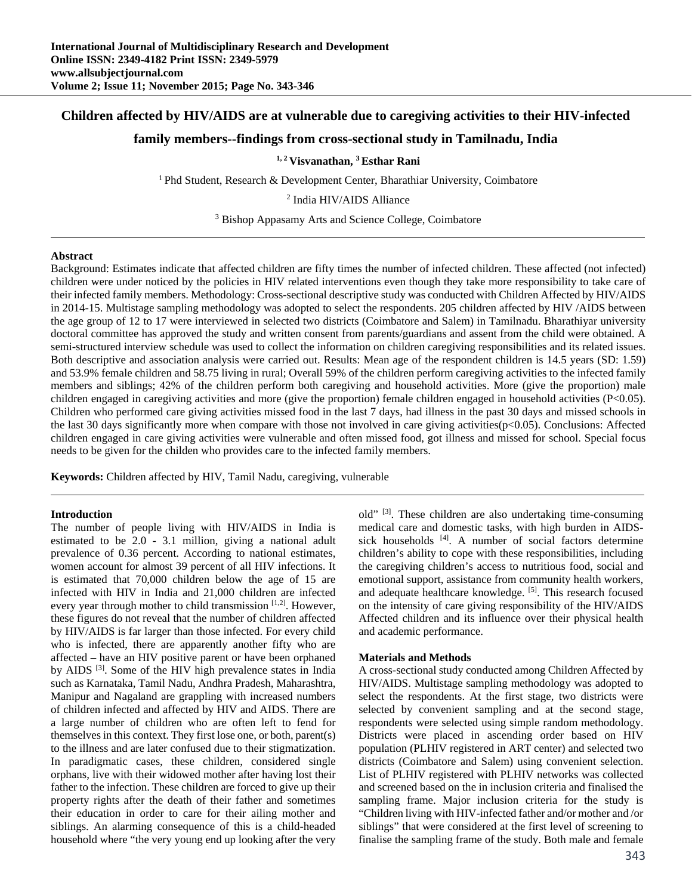# **Children affected by HIV/AIDS are at vulnerable due to caregiving activities to their HIV-infected**

# **family members--findings from cross-sectional study in Tamilnadu, India**

**1, 2 Visvanathan, 3 Esthar Rani** 

<sup>1</sup> Phd Student, Research & Development Center, Bharathiar University, Coimbatore

2 India HIV/AIDS Alliance

<sup>3</sup> Bishop Appasamy Arts and Science College, Coimbatore

#### **Abstract**

Background: Estimates indicate that affected children are fifty times the number of infected children. These affected (not infected) children were under noticed by the policies in HIV related interventions even though they take more responsibility to take care of their infected family members. Methodology: Cross-sectional descriptive study was conducted with Children Affected by HIV/AIDS in 2014-15. Multistage sampling methodology was adopted to select the respondents. 205 children affected by HIV /AIDS between the age group of 12 to 17 were interviewed in selected two districts (Coimbatore and Salem) in Tamilnadu. Bharathiyar university doctoral committee has approved the study and written consent from parents/guardians and assent from the child were obtained. A semi-structured interview schedule was used to collect the information on children caregiving responsibilities and its related issues. Both descriptive and association analysis were carried out. Results: Mean age of the respondent children is 14.5 years (SD: 1.59) and 53.9% female children and 58.75 living in rural; Overall 59% of the children perform caregiving activities to the infected family members and siblings; 42% of the children perform both caregiving and household activities. More (give the proportion) male children engaged in caregiving activities and more (give the proportion) female children engaged in household activities (P<0.05). Children who performed care giving activities missed food in the last 7 days, had illness in the past 30 days and missed schools in the last 30 days significantly more when compare with those not involved in care giving activities(p<0.05). Conclusions: Affected children engaged in care giving activities were vulnerable and often missed food, got illness and missed for school. Special focus needs to be given for the childen who provides care to the infected family members.

**Keywords:** Children affected by HIV, Tamil Nadu, caregiving, vulnerable

#### **Introduction**

The number of people living with HIV/AIDS in India is estimated to be 2.0 - 3.1 million, giving a national adult prevalence of 0.36 percent. According to national estimates, women account for almost 39 percent of all HIV infections. It is estimated that 70,000 children below the age of 15 are infected with HIV in India and 21,000 children are infected every year through mother to child transmission  $[1,2]$ . However, these figures do not reveal that the number of children affected by HIV/AIDS is far larger than those infected. For every child who is infected, there are apparently another fifty who are affected – have an HIV positive parent or have been orphaned by AIDS [3]. Some of the HIV high prevalence states in India such as Karnataka, Tamil Nadu, Andhra Pradesh, Maharashtra, Manipur and Nagaland are grappling with increased numbers of children infected and affected by HIV and AIDS. There are a large number of children who are often left to fend for themselves in this context. They first lose one, or both, parent(s) to the illness and are later confused due to their stigmatization. In paradigmatic cases, these children, considered single orphans, live with their widowed mother after having lost their father to the infection. These children are forced to give up their property rights after the death of their father and sometimes their education in order to care for their ailing mother and siblings. An alarming consequence of this is a child-headed household where "the very young end up looking after the very

old" [3]. These children are also undertaking time-consuming medical care and domestic tasks, with high burden in AIDSsick households [4]. A number of social factors determine children's ability to cope with these responsibilities, including the caregiving children's access to nutritious food, social and emotional support, assistance from community health workers, and adequate healthcare knowledge. [5]. This research focused on the intensity of care giving responsibility of the HIV/AIDS Affected children and its influence over their physical health and academic performance.

#### **Materials and Methods**

A cross-sectional study conducted among Children Affected by HIV/AIDS. Multistage sampling methodology was adopted to select the respondents. At the first stage, two districts were selected by convenient sampling and at the second stage, respondents were selected using simple random methodology. Districts were placed in ascending order based on HIV population (PLHIV registered in ART center) and selected two districts (Coimbatore and Salem) using convenient selection. List of PLHIV registered with PLHIV networks was collected and screened based on the in inclusion criteria and finalised the sampling frame. Major inclusion criteria for the study is "Children living with HIV-infected father and/or mother and /or siblings" that were considered at the first level of screening to finalise the sampling frame of the study. Both male and female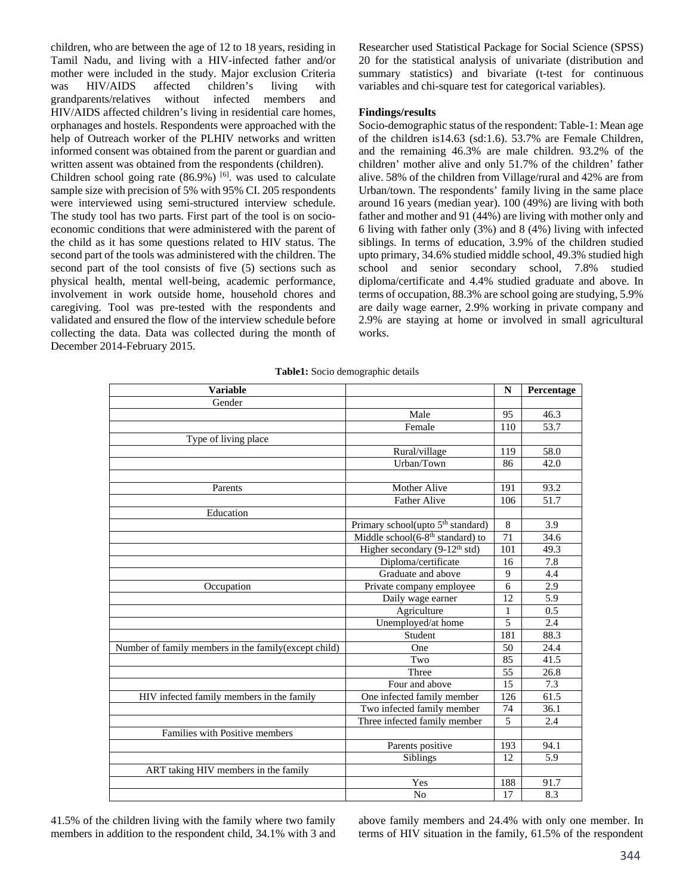children, who are between the age of 12 to 18 years, residing in Tamil Nadu, and living with a HIV-infected father and/or mother were included in the study. Major exclusion Criteria was HIV/AIDS affected children's living with grandparents/relatives without infected members and HIV/AIDS affected children's living in residential care homes, orphanages and hostels. Respondents were approached with the help of Outreach worker of the PLHIV networks and written informed consent was obtained from the parent or guardian and written assent was obtained from the respondents (children).

Children school going rate  $(86.9\%)$  [6]. was used to calculate sample size with precision of 5% with 95% CI. 205 respondents were interviewed using semi-structured interview schedule. The study tool has two parts. First part of the tool is on socioeconomic conditions that were administered with the parent of the child as it has some questions related to HIV status. The second part of the tools was administered with the children. The second part of the tool consists of five (5) sections such as physical health, mental well-being, academic performance, involvement in work outside home, household chores and caregiving. Tool was pre-tested with the respondents and validated and ensured the flow of the interview schedule before collecting the data. Data was collected during the month of December 2014-February 2015.

Researcher used Statistical Package for Social Science (SPSS) 20 for the statistical analysis of univariate (distribution and summary statistics) and bivariate (t-test for continuous variables and chi-square test for categorical variables).

## **Findings/results**

Socio-demographic status of the respondent: Table-1: Mean age of the children is14.63 (sd:1.6). 53.7% are Female Children, and the remaining 46.3% are male children. 93.2% of the children' mother alive and only 51.7% of the children' father alive. 58% of the children from Village/rural and 42% are from Urban/town. The respondents' family living in the same place around 16 years (median year). 100 (49%) are living with both father and mother and 91 (44%) are living with mother only and 6 living with father only (3%) and 8 (4%) living with infected siblings. In terms of education, 3.9% of the children studied upto primary, 34.6% studied middle school, 49.3% studied high school and senior secondary school, 7.8% studied diploma/certificate and 4.4% studied graduate and above. In terms of occupation, 88.3% are school going are studying, 5.9% are daily wage earner, 2.9% working in private company and 2.9% are staying at home or involved in small agricultural works.

|  |  | Table1: Socio demographic details |  |
|--|--|-----------------------------------|--|
|--|--|-----------------------------------|--|

| <b>Variable</b>                                       |                                               |                | Percentage |
|-------------------------------------------------------|-----------------------------------------------|----------------|------------|
| Gender                                                |                                               |                |            |
|                                                       | Male                                          | 95             | 46.3       |
|                                                       | Female                                        | 110            | 53.7       |
| Type of living place                                  |                                               |                |            |
|                                                       | Rural/village                                 | 119            | 58.0       |
|                                                       | Urban/Town                                    | 86             | 42.0       |
|                                                       |                                               |                |            |
| Parents                                               | <b>Mother Alive</b>                           | 191            | 93.2       |
|                                                       | <b>Father Alive</b>                           | 106            | 51.7       |
| Education                                             |                                               |                |            |
|                                                       | Primary school(upto 5 <sup>th</sup> standard) | 8              | 3.9        |
|                                                       | Middle school $(6-8th$ standard) to           | 71             | 34.6       |
|                                                       | Higher secondary $(9-12^{th} std)$            | 101            | 49.3       |
|                                                       | Diploma/certificate                           | 16             | 7.8        |
|                                                       | Graduate and above                            | 9              | 4.4        |
| Occupation                                            | Private company employee                      |                | 2.9        |
|                                                       | Daily wage earner                             | 12             | 5.9        |
|                                                       | Agriculture                                   | $\mathbf{1}$   | 0.5        |
|                                                       | Unemployed/at home                            | $\overline{5}$ | 2.4        |
|                                                       | Student                                       | 181            | 88.3       |
| Number of family members in the family (except child) | One                                           | 50             | 24.4       |
|                                                       | Two                                           | 85             | 41.5       |
|                                                       | Three                                         | 55             | 26.8       |
|                                                       | Four and above                                | 15             | 7.3        |
| HIV infected family members in the family             | One infected family member                    | 126            | 61.5       |
|                                                       | Two infected family member                    | 74             | 36.1       |
|                                                       | Three infected family member                  | 5              | 2.4        |
| Families with Positive members                        |                                               |                |            |
|                                                       | Parents positive                              | 193            | 94.1       |
|                                                       | Siblings                                      | 12             | 5.9        |
| ART taking HIV members in the family                  |                                               |                |            |
|                                                       | Yes                                           | 188            | 91.7       |
|                                                       | N <sub>o</sub>                                | 17             | 8.3        |

41.5% of the children living with the family where two family members in addition to the respondent child, 34.1% with 3 and above family members and 24.4% with only one member. In terms of HIV situation in the family, 61.5% of the respondent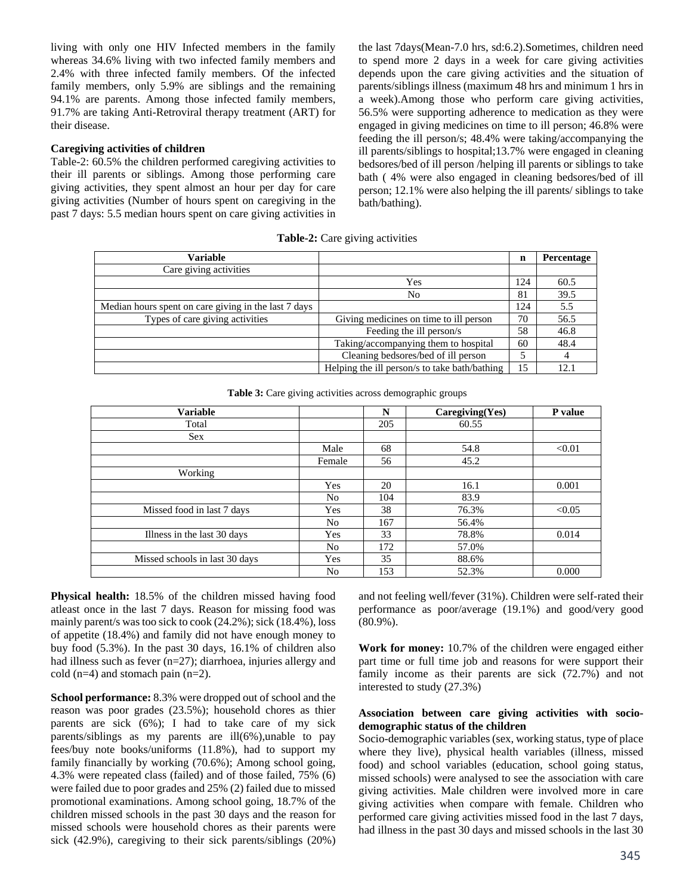living with only one HIV Infected members in the family whereas 34.6% living with two infected family members and 2.4% with three infected family members. Of the infected family members, only 5.9% are siblings and the remaining 94.1% are parents. Among those infected family members, 91.7% are taking Anti-Retroviral therapy treatment (ART) for their disease.

### **Caregiving activities of children**

Table-2: 60.5% the children performed caregiving activities to their ill parents or siblings. Among those performing care giving activities, they spent almost an hour per day for care giving activities (Number of hours spent on caregiving in the past 7 days: 5.5 median hours spent on care giving activities in

the last 7days(Mean-7.0 hrs, sd:6.2).Sometimes, children need to spend more 2 days in a week for care giving activities depends upon the care giving activities and the situation of parents/siblings illness (maximum 48 hrs and minimum 1 hrs in a week).Among those who perform care giving activities, 56.5% were supporting adherence to medication as they were engaged in giving medicines on time to ill person; 46.8% were feeding the ill person/s; 48.4% were taking/accompanying the ill parents/siblings to hospital;13.7% were engaged in cleaning bedsores/bed of ill person /helping ill parents or siblings to take bath ( 4% were also engaged in cleaning bedsores/bed of ill person; 12.1% were also helping the ill parents/ siblings to take bath/bathing).

**Table-2:** Care giving activities

| <b>Variable</b>                                      |                                               | n   | Percentage |
|------------------------------------------------------|-----------------------------------------------|-----|------------|
| Care giving activities                               |                                               |     |            |
|                                                      | Yes                                           | 124 | 60.5       |
|                                                      | No                                            | 81  | 39.5       |
| Median hours spent on care giving in the last 7 days |                                               | 124 | 5.5        |
| Types of care giving activities                      | Giving medicines on time to ill person        |     | 56.5       |
|                                                      | Feeding the ill person/s                      | 58  | 46.8       |
|                                                      | Taking/accompanying them to hospital          | 60  | 48.4       |
|                                                      | Cleaning bedsores/bed of ill person           |     |            |
|                                                      | Helping the ill person/s to take bath/bathing | 15  | 12.1       |

**Table 3:** Care giving activities across demographic groups

| <b>Variable</b>                |        | N   | Caregiving(Yes) | P value |
|--------------------------------|--------|-----|-----------------|---------|
| Total                          |        | 205 | 60.55           |         |
| <b>Sex</b>                     |        |     |                 |         |
|                                | Male   | 68  | 54.8            | < 0.01  |
|                                | Female | 56  | 45.2            |         |
| Working                        |        |     |                 |         |
|                                | Yes    | 20  | 16.1            | 0.001   |
|                                | No     | 104 | 83.9            |         |
| Missed food in last 7 days     | Yes    | 38  | 76.3%           | < 0.05  |
|                                | No     | 167 | 56.4%           |         |
| Illness in the last 30 days    | Yes    | 33  | 78.8%           | 0.014   |
|                                | No     | 172 | 57.0%           |         |
| Missed schools in last 30 days | Yes    | 35  | 88.6%           |         |
|                                | No     | 153 | 52.3%           | 0.000   |

**Physical health:** 18.5% of the children missed having food atleast once in the last 7 days. Reason for missing food was mainly parent/s was too sick to cook (24.2%); sick (18.4%), loss of appetite (18.4%) and family did not have enough money to buy food (5.3%). In the past 30 days, 16.1% of children also had illness such as fever (n=27); diarrhoea, injuries allergy and cold  $(n=4)$  and stomach pain  $(n=2)$ .

**School performance:** 8.3% were dropped out of school and the reason was poor grades (23.5%); household chores as thier parents are sick (6%); I had to take care of my sick parents/siblings as my parents are ill(6%),unable to pay fees/buy note books/uniforms (11.8%), had to support my family financially by working (70.6%); Among school going, 4.3% were repeated class (failed) and of those failed, 75% (6) were failed due to poor grades and 25% (2) failed due to missed promotional examinations. Among school going, 18.7% of the children missed schools in the past 30 days and the reason for missed schools were household chores as their parents were sick (42.9%), caregiving to their sick parents/siblings (20%)

and not feeling well/fever (31%). Children were self-rated their performance as poor/average (19.1%) and good/very good (80.9%).

**Work for money:** 10.7% of the children were engaged either part time or full time job and reasons for were support their family income as their parents are sick (72.7%) and not interested to study (27.3%)

### **Association between care giving activities with sociodemographic status of the children**

Socio-demographic variables (sex, working status, type of place where they live), physical health variables (illness, missed food) and school variables (education, school going status, missed schools) were analysed to see the association with care giving activities. Male children were involved more in care giving activities when compare with female. Children who performed care giving activities missed food in the last 7 days, had illness in the past 30 days and missed schools in the last 30